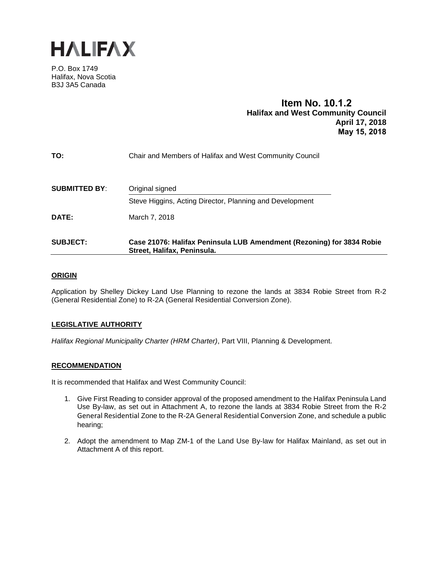

P.O. Box 1749 Halifax, Nova Scotia B3J 3A5 Canada

# **Item No. 10.1.2 Halifax and West Community Council April 17, 2018 May 15, 2018**

| Steve Higgins, Acting Director, Planning and Development |
|----------------------------------------------------------|
| Chair and Members of Halifax and West Community Council  |
|                                                          |

## **ORIGIN**

Application by Shelley Dickey Land Use Planning to rezone the lands at 3834 Robie Street from R-2 (General Residential Zone) to R-2A (General Residential Conversion Zone).

## **LEGISLATIVE AUTHORITY**

*Halifax Regional Municipality Charter (HRM Charter)*, Part VIII, Planning & Development.

### **RECOMMENDATION**

It is recommended that Halifax and West Community Council:

- 1. Give First Reading to consider approval of the proposed amendment to the Halifax Peninsula Land Use By-law, as set out in Attachment A, to rezone the lands at 3834 Robie Street from the R-2 General Residential Zone to the R-2A General Residential Conversion Zone, and schedule a public hearing;
- 2. Adopt the amendment to Map ZM-1 of the Land Use By-law for Halifax Mainland, as set out in Attachment A of this report.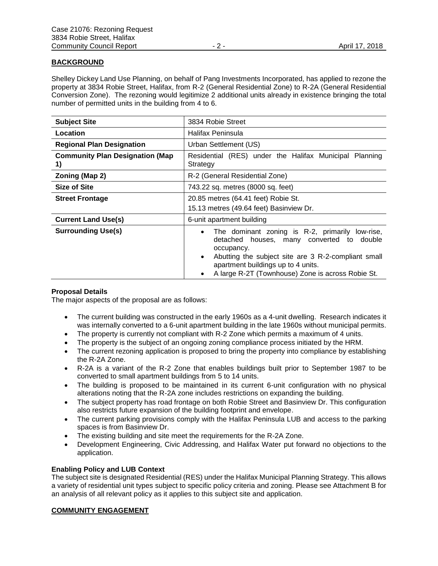## **BACKGROUND**

Shelley Dickey Land Use Planning, on behalf of Pang Investments Incorporated, has applied to rezone the property at 3834 Robie Street, Halifax, from R-2 (General Residential Zone) to R-2A (General Residential Conversion Zone). The rezoning would legitimize 2 additional units already in existence bringing the total number of permitted units in the building from 4 to 6.

| <b>Subject Site</b>                          | 3834 Robie Street                                                                                                                                                                                                                                                                            |
|----------------------------------------------|----------------------------------------------------------------------------------------------------------------------------------------------------------------------------------------------------------------------------------------------------------------------------------------------|
| Location                                     | Halifax Peninsula                                                                                                                                                                                                                                                                            |
| <b>Regional Plan Designation</b>             | Urban Settlement (US)                                                                                                                                                                                                                                                                        |
| <b>Community Plan Designation (Map</b><br>1) | Residential (RES) under the Halifax Municipal Planning<br>Strategy                                                                                                                                                                                                                           |
| Zoning (Map 2)                               | R-2 (General Residential Zone)                                                                                                                                                                                                                                                               |
| <b>Size of Site</b>                          | 743.22 sq. metres (8000 sq. feet)                                                                                                                                                                                                                                                            |
| <b>Street Frontage</b>                       | 20.85 metres (64.41 feet) Robie St.<br>15.13 metres (49.64 feet) Basinview Dr.                                                                                                                                                                                                               |
| <b>Current Land Use(s)</b>                   | 6-unit apartment building                                                                                                                                                                                                                                                                    |
| <b>Surrounding Use(s)</b>                    | The dominant zoning is R-2, primarily<br>low-rise,<br>$\bullet$<br>double<br>detached houses, many converted to<br>occupancy.<br>Abutting the subject site are 3 R-2-compliant small<br>$\bullet$<br>apartment buildings up to 4 units.<br>A large R-2T (Townhouse) Zone is across Robie St. |

## **Proposal Details**

The major aspects of the proposal are as follows:

- The current building was constructed in the early 1960s as a 4-unit dwelling. Research indicates it was internally converted to a 6-unit apartment building in the late 1960s without municipal permits.
- The property is currently not compliant with R-2 Zone which permits a maximum of 4 units.
- The property is the subject of an ongoing zoning compliance process initiated by the HRM.
- The current rezoning application is proposed to bring the property into compliance by establishing the R-2A Zone.
- R-2A is a variant of the R-2 Zone that enables buildings built prior to September 1987 to be converted to small apartment buildings from 5 to 14 units.
- The building is proposed to be maintained in its current 6-unit configuration with no physical alterations noting that the R-2A zone includes restrictions on expanding the building.
- The subject property has road frontage on both Robie Street and Basinview Dr. This configuration also restricts future expansion of the building footprint and envelope.
- The current parking provisions comply with the Halifax Peninsula LUB and access to the parking spaces is from Basinview Dr.
- The existing building and site meet the requirements for the R-2A Zone.
- Development Engineering, Civic Addressing, and Halifax Water put forward no objections to the application.

## **Enabling Policy and LUB Context**

The subject site is designated Residential (RES) under the Halifax Municipal Planning Strategy. This allows a variety of residential unit types subject to specific policy criteria and zoning. Please see Attachment B for an analysis of all relevant policy as it applies to this subject site and application.

## **COMMUNITY ENGAGEMENT**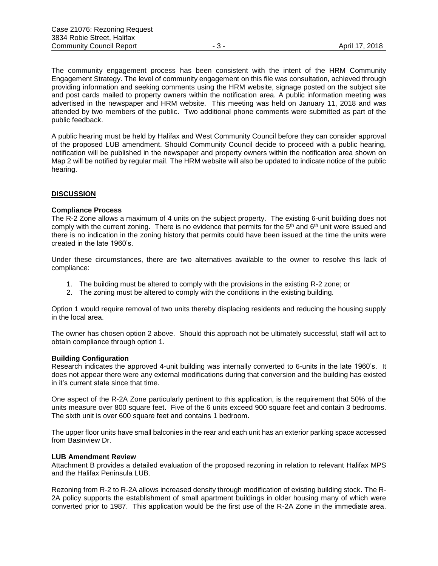The community engagement process has been consistent with the intent of the HRM Community Engagement Strategy. The level of community engagement on this file was consultation, achieved through providing information and seeking comments using the HRM website, signage posted on the subject site and post cards mailed to property owners within the notification area. A public information meeting was advertised in the newspaper and HRM website. This meeting was held on January 11, 2018 and was attended by two members of the public. Two additional phone comments were submitted as part of the public feedback.

A public hearing must be held by Halifax and West Community Council before they can consider approval of the proposed LUB amendment. Should Community Council decide to proceed with a public hearing, notification will be published in the newspaper and property owners within the notification area shown on Map 2 will be notified by regular mail. The HRM website will also be updated to indicate notice of the public hearing.

### **DISCUSSION**

#### **Compliance Process**

The R-2 Zone allows a maximum of 4 units on the subject property. The existing 6-unit building does not comply with the current zoning. There is no evidence that permits for the  $5<sup>th</sup>$  and  $6<sup>th</sup>$  unit were issued and there is no indication in the zoning history that permits could have been issued at the time the units were created in the late 1960's.

Under these circumstances, there are two alternatives available to the owner to resolve this lack of compliance:

- 1. The building must be altered to comply with the provisions in the existing R-2 zone; or
- 2. The zoning must be altered to comply with the conditions in the existing building.

Option 1 would require removal of two units thereby displacing residents and reducing the housing supply in the local area.

The owner has chosen option 2 above. Should this approach not be ultimately successful, staff will act to obtain compliance through option 1.

#### **Building Configuration**

Research indicates the approved 4-unit building was internally converted to 6-units in the late 1960's. It does not appear there were any external modifications during that conversion and the building has existed in it's current state since that time.

One aspect of the R-2A Zone particularly pertinent to this application, is the requirement that 50% of the units measure over 800 square feet. Five of the 6 units exceed 900 square feet and contain 3 bedrooms. The sixth unit is over 600 square feet and contains 1 bedroom.

The upper floor units have small balconies in the rear and each unit has an exterior parking space accessed from Basinview Dr.

#### **LUB Amendment Review**

Attachment B provides a detailed evaluation of the proposed rezoning in relation to relevant Halifax MPS and the Halifax Peninsula LUB.

Rezoning from R-2 to R-2A allows increased density through modification of existing building stock. The R-2A policy supports the establishment of small apartment buildings in older housing many of which were converted prior to 1987. This application would be the first use of the R-2A Zone in the immediate area.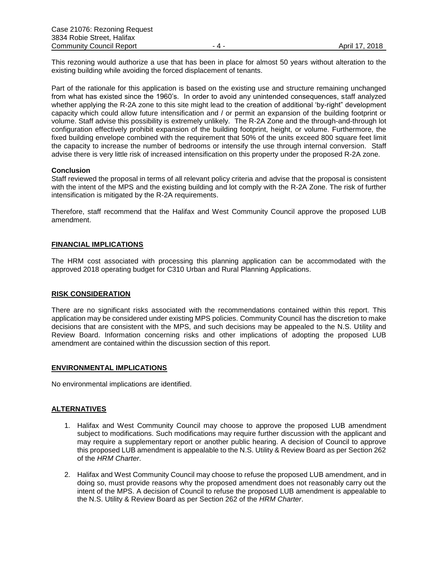This rezoning would authorize a use that has been in place for almost 50 years without alteration to the existing building while avoiding the forced displacement of tenants.

Part of the rationale for this application is based on the existing use and structure remaining unchanged from what has existed since the 1960's. In order to avoid any unintended consequences, staff analyzed whether applying the R-2A zone to this site might lead to the creation of additional 'by-right" development capacity which could allow future intensification and / or permit an expansion of the building footprint or volume. Staff advise this possibility is extremely unlikely. The R-2A Zone and the through-and-through lot configuration effectively prohibit expansion of the building footprint, height, or volume. Furthermore, the fixed building envelope combined with the requirement that 50% of the units exceed 800 square feet limit the capacity to increase the number of bedrooms or intensify the use through internal conversion. Staff advise there is very little risk of increased intensification on this property under the proposed R-2A zone.

### **Conclusion**

Staff reviewed the proposal in terms of all relevant policy criteria and advise that the proposal is consistent with the intent of the MPS and the existing building and lot comply with the R-2A Zone. The risk of further intensification is mitigated by the R-2A requirements.

Therefore, staff recommend that the Halifax and West Community Council approve the proposed LUB amendment.

### **FINANCIAL IMPLICATIONS**

The HRM cost associated with processing this planning application can be accommodated with the approved 2018 operating budget for C310 Urban and Rural Planning Applications.

#### **RISK CONSIDERATION**

There are no significant risks associated with the recommendations contained within this report. This application may be considered under existing MPS policies. Community Council has the discretion to make decisions that are consistent with the MPS, and such decisions may be appealed to the N.S. Utility and Review Board. Information concerning risks and other implications of adopting the proposed LUB amendment are contained within the discussion section of this report.

### **ENVIRONMENTAL IMPLICATIONS**

No environmental implications are identified.

#### **ALTERNATIVES**

- 1. Halifax and West Community Council may choose to approve the proposed LUB amendment subject to modifications. Such modifications may require further discussion with the applicant and may require a supplementary report or another public hearing. A decision of Council to approve this proposed LUB amendment is appealable to the N.S. Utility & Review Board as per Section 262 of the *HRM Charter*.
- 2. Halifax and West Community Council may choose to refuse the proposed LUB amendment, and in doing so, must provide reasons why the proposed amendment does not reasonably carry out the intent of the MPS. A decision of Council to refuse the proposed LUB amendment is appealable to the N.S. Utility & Review Board as per Section 262 of the *HRM Charter*.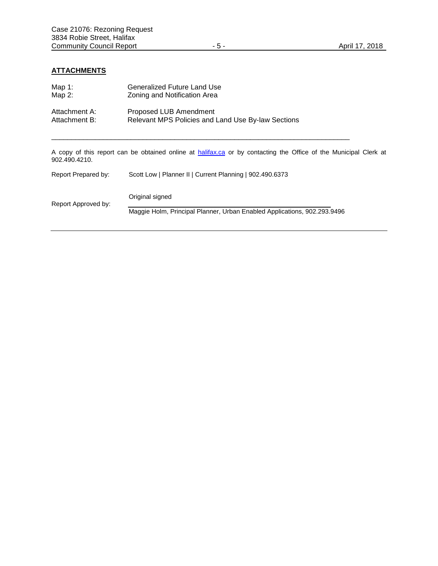# **ATTACHMENTS**

| Map $1:$<br>Map $2$ :          | Generalized Future Land Use<br>Zoning and Notification Area                                                             |
|--------------------------------|-------------------------------------------------------------------------------------------------------------------------|
| Attachment A:<br>Attachment B: | Proposed LUB Amendment<br>Relevant MPS Policies and Land Use By-law Sections                                            |
| 902.490.4210.                  | A copy of this report can be obtained online at <b>halifax.ca</b> or by contacting the Office of the Municipal Clerk at |
| Report Prepared by:            | Scott Low   Planner II   Current Planning   902.490.6373                                                                |
| Report Approved by:            | Original signed                                                                                                         |
|                                | Maggie Holm, Principal Planner, Urban Enabled Applications, 902.293.9496                                                |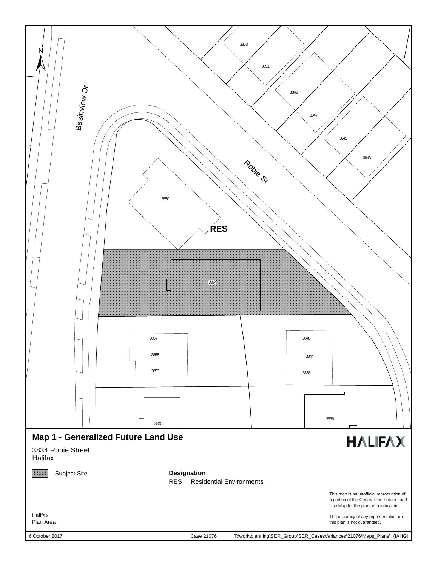

6 October 2017

Case 21076

T:\work\planning\SER\_Group\SER\_CasesVariances\21076\Maps\_Plans\ (IAHG)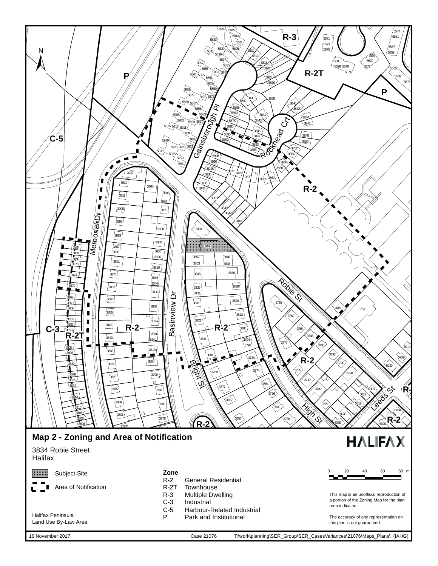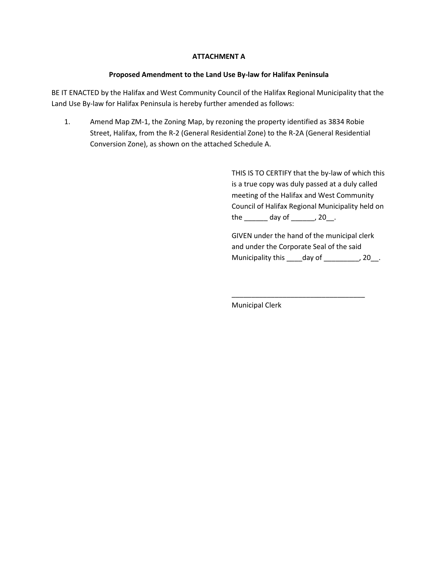# **ATTACHMENT A**

## **Proposed Amendment to the Land Use By-law for Halifax Peninsula**

BE IT ENACTED by the Halifax and West Community Council of the Halifax Regional Municipality that the Land Use By-law for Halifax Peninsula is hereby further amended as follows:

1. Amend Map ZM-1, the Zoning Map, by rezoning the property identified as 3834 Robie Street, Halifax, from the R-2 (General Residential Zone) to the R-2A (General Residential Conversion Zone), as shown on the attached Schedule A.

> THIS IS TO CERTIFY that the by-law of which this is a true copy was duly passed at a duly called meeting of the Halifax and West Community Council of Halifax Regional Municipality held on the \_\_\_\_\_\_ day of \_\_\_\_\_\_, 20\_\_.

GIVEN under the hand of the municipal clerk and under the Corporate Seal of the said Municipality this \_\_\_\_day of \_\_\_\_\_\_\_\_, 20\_.

\_\_\_\_\_\_\_\_\_\_\_\_\_\_\_\_\_\_\_\_\_\_\_\_\_\_\_\_\_\_\_\_\_\_

Municipal Clerk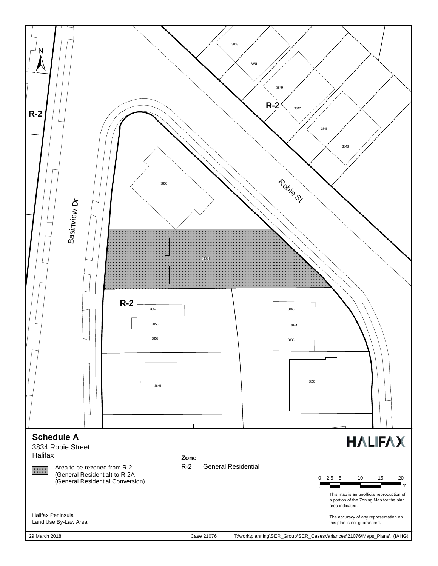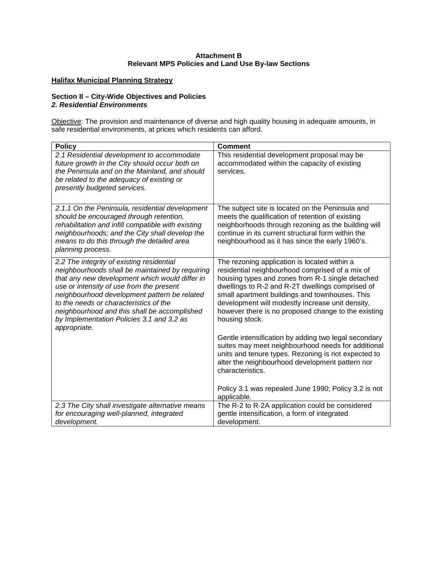## **Attachment B Relevant MPS Policies and Land Use By-law Sections**

## **Halifax Municipal Planning Strategy**

## **Section II – City-Wide Objectives and Policies**  *2. Residential Environments*

Objective: The provision and maintenance of diverse and high quality housing in adequate amounts, in safe residential environments, at prices which residents can afford.

| <b>Policy</b>                                                                                                                                                                                                                                                                                                                                                                                     | <b>Comment</b>                                                                                                                                                                                                                                                                                                                                                                         |
|---------------------------------------------------------------------------------------------------------------------------------------------------------------------------------------------------------------------------------------------------------------------------------------------------------------------------------------------------------------------------------------------------|----------------------------------------------------------------------------------------------------------------------------------------------------------------------------------------------------------------------------------------------------------------------------------------------------------------------------------------------------------------------------------------|
| 2.1 Residential development to accommodate<br>future growth in the City should occur both on<br>the Peninsula and on the Mainland, and should<br>be related to the adequacy of existing or<br>presently budgeted services.                                                                                                                                                                        | This residential development proposal may be<br>accommodated within the capacity of existing<br>services.                                                                                                                                                                                                                                                                              |
| 2.1.1 On the Peninsula, residential development<br>should be encouraged through retention,<br>rehabilitation and infill compatible with existing<br>neighbourhoods; and the City shall develop the<br>means to do this through the detailed area<br>planning process.                                                                                                                             | The subject site is located on the Peninsula and<br>meets the qualification of retention of existing<br>neighborhoods through rezoning as the building will<br>continue in its current structural form within the<br>neighbourhood as it has since the early 1960's.                                                                                                                   |
| 2.2 The integrity of existing residential<br>neighbourhoods shall be maintained by requiring<br>that any new development which would differ in<br>use or intensity of use from the present<br>neighbourhood development pattern be related<br>to the needs or characteristics of the<br>neighbourhood and this shall be accomplished<br>by Implementation Policies 3.1 and 3.2 as<br>appropriate. | The rezoning application is located within a<br>residential neighbourhood comprised of a mix of<br>housing types and zones from R-1 single detached<br>dwellings to R-2 and R-2T dwellings comprised of<br>small apartment buildings and townhouses. This<br>development will modestly increase unit density,<br>however there is no proposed change to the existing<br>housing stock. |
|                                                                                                                                                                                                                                                                                                                                                                                                   | Gentle intensification by adding two legal secondary<br>suites may meet neighbourhood needs for additional<br>units and tenure types. Rezoning is not expected to<br>alter the neighbourhood development pattern nor<br>characteristics.                                                                                                                                               |
|                                                                                                                                                                                                                                                                                                                                                                                                   | Policy 3.1 was repealed June 1990; Policy 3.2 is not<br>applicable.                                                                                                                                                                                                                                                                                                                    |
| 2.3 The City shall investigate alternative means<br>for encouraging well-planned, integrated<br>development.                                                                                                                                                                                                                                                                                      | The R-2 to R-2A application could be considered<br>gentle intensification, a form of integrated<br>development.                                                                                                                                                                                                                                                                        |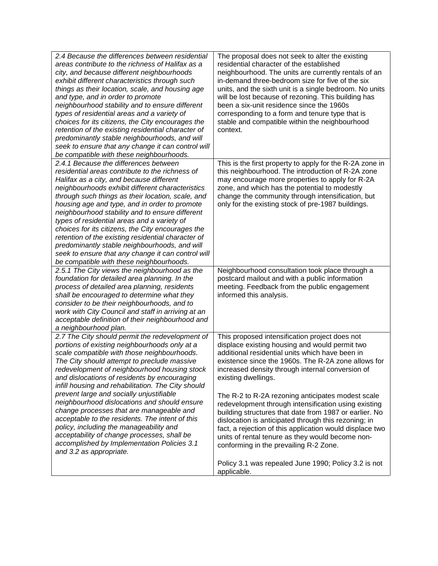| 2.4 Because the differences between residential<br>areas contribute to the richness of Halifax as a<br>city, and because different neighbourhoods<br>exhibit different characteristics through such<br>things as their location, scale, and housing age<br>and type, and in order to promote<br>neighbourhood stability and to ensure different<br>types of residential areas and a variety of<br>choices for its citizens, the City encourages the<br>retention of the existing residential character of<br>predominantly stable neighbourhoods, and will<br>seek to ensure that any change it can control will<br>be compatible with these neighbourhoods.   | The proposal does not seek to alter the existing<br>residential character of the established<br>neighbourhood. The units are currently rentals of an<br>in-demand three-bedroom size for five of the six<br>units, and the sixth unit is a single bedroom. No units<br>will be lost because of rezoning. This building has<br>been a six-unit residence since the 1960s<br>corresponding to a form and tenure type that is<br>stable and compatible within the neighbourhood<br>context. |
|----------------------------------------------------------------------------------------------------------------------------------------------------------------------------------------------------------------------------------------------------------------------------------------------------------------------------------------------------------------------------------------------------------------------------------------------------------------------------------------------------------------------------------------------------------------------------------------------------------------------------------------------------------------|------------------------------------------------------------------------------------------------------------------------------------------------------------------------------------------------------------------------------------------------------------------------------------------------------------------------------------------------------------------------------------------------------------------------------------------------------------------------------------------|
| 2.4.1 Because the differences between<br>residential areas contribute to the richness of<br>Halifax as a city, and because different<br>neighbourhoods exhibit different characteristics<br>through such things as their location, scale, and<br>housing age and type, and in order to promote<br>neighbourhood stability and to ensure different<br>types of residential areas and a variety of<br>choices for its citizens, the City encourages the<br>retention of the existing residential character of<br>predominantly stable neighbourhoods, and will<br>seek to ensure that any change it can control will<br>be compatible with these neighbourhoods. | This is the first property to apply for the R-2A zone in<br>this neighbourhood. The introduction of R-2A zone<br>may encourage more properties to apply for R-2A<br>zone, and which has the potential to modestly<br>change the community through intensification, but<br>only for the existing stock of pre-1987 buildings.                                                                                                                                                             |
| 2.5.1 The City views the neighbourhood as the<br>foundation for detailed area planning. In the<br>process of detailed area planning, residents<br>shall be encouraged to determine what they<br>consider to be their neighbourhoods, and to<br>work with City Council and staff in arriving at an<br>acceptable definition of their neighbourhood and<br>a neighbourhood plan.                                                                                                                                                                                                                                                                                 | Neighbourhood consultation took place through a<br>postcard mailout and with a public information<br>meeting. Feedback from the public engagement<br>informed this analysis.                                                                                                                                                                                                                                                                                                             |
| 2.7 The City should permit the redevelopment of<br>portions of existing neighbourhoods only at a<br>scale compatible with those neighbourhoods.<br>The City should attempt to preclude massive<br>redevelopment of neighbourhood housing stock<br>and dislocations of residents by encouraging<br>infill housing and rehabilitation. The City should                                                                                                                                                                                                                                                                                                           | This proposed intensification project does not<br>displace existing housing and would permit two<br>additional residential units which have been in<br>existence since the 1960s. The R-2A zone allows for<br>increased density through internal conversion of<br>existing dwellings.                                                                                                                                                                                                    |
| prevent large and socially unjustifiable<br>neighbourhood dislocations and should ensure<br>change processes that are manageable and<br>acceptable to the residents. The intent of this<br>policy, including the manageability and<br>acceptability of change processes, shall be<br>accomplished by Implementation Policies 3.1<br>and 3.2 as appropriate.                                                                                                                                                                                                                                                                                                    | The R-2 to R-2A rezoning anticipates modest scale<br>redevelopment through intensification using existing<br>building structures that date from 1987 or earlier. No<br>dislocation is anticipated through this rezoning; in<br>fact, a rejection of this application would displace two<br>units of rental tenure as they would become non-<br>conforming in the prevailing R-2 Zone.                                                                                                    |
|                                                                                                                                                                                                                                                                                                                                                                                                                                                                                                                                                                                                                                                                | Policy 3.1 was repealed June 1990; Policy 3.2 is not<br>applicable.                                                                                                                                                                                                                                                                                                                                                                                                                      |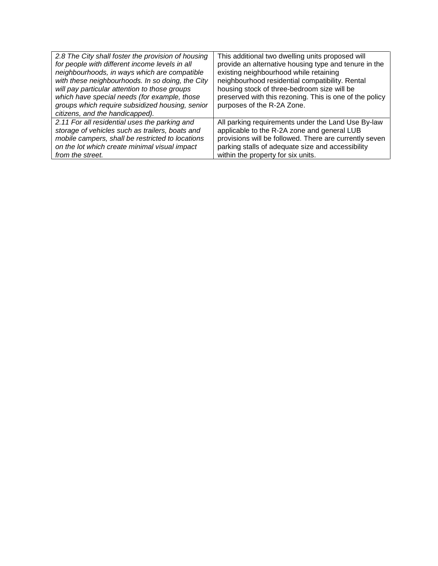| 2.8 The City shall foster the provision of housing | This additional two dwelling units proposed will        |
|----------------------------------------------------|---------------------------------------------------------|
| for people with different income levels in all     | provide an alternative housing type and tenure in the   |
| neighbourhoods, in ways which are compatible       | existing neighbourhood while retaining                  |
| with these neighbourhoods. In so doing, the City   | neighbourhood residential compatibility. Rental         |
| will pay particular attention to those groups      | housing stock of three-bedroom size will be             |
| which have special needs (for example, those       | preserved with this rezoning. This is one of the policy |
| groups which require subsidized housing, senior    | purposes of the R-2A Zone.                              |
| citizens, and the handicapped).                    |                                                         |
| 2.11 For all residential uses the parking and      | All parking requirements under the Land Use By-law      |
| storage of vehicles such as trailers, boats and    | applicable to the R-2A zone and general LUB             |
| mobile campers, shall be restricted to locations   | provisions will be followed. There are currently seven  |
| on the lot which create minimal visual impact      | parking stalls of adequate size and accessibility       |
| from the street.                                   | within the property for six units.                      |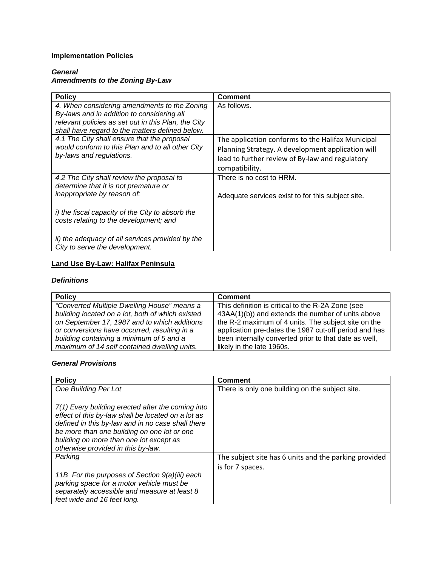# **Implementation Policies**

# *General Amendments to the Zoning By-Law*

| <b>Policy</b>                                                                                                                                                                                        | <b>Comment</b>                                                                                                                                                              |
|------------------------------------------------------------------------------------------------------------------------------------------------------------------------------------------------------|-----------------------------------------------------------------------------------------------------------------------------------------------------------------------------|
| 4. When considering amendments to the Zoning<br>By-laws and in addition to considering all<br>relevant policies as set out in this Plan, the City<br>shall have regard to the matters defined below. | As follows.                                                                                                                                                                 |
| 4.1 The City shall ensure that the proposal<br>would conform to this Plan and to all other City<br>by-laws and regulations.                                                                          | The application conforms to the Halifax Municipal<br>Planning Strategy. A development application will<br>lead to further review of By-law and regulatory<br>compatibility. |
| 4.2 The City shall review the proposal to                                                                                                                                                            | There is no cost to HRM.                                                                                                                                                    |
| determine that it is not premature or<br>inappropriate by reason of:                                                                                                                                 | Adequate services exist to for this subject site.                                                                                                                           |
| i) the fiscal capacity of the City to absorb the<br>costs relating to the development; and                                                                                                           |                                                                                                                                                                             |
| ii) the adequacy of all services provided by the<br>City to serve the development.                                                                                                                   |                                                                                                                                                                             |

# **Land Use By-Law: Halifax Peninsula**

## *Definitions*

| <b>Policy</b>                                    | <b>Comment</b>                                        |
|--------------------------------------------------|-------------------------------------------------------|
| "Converted Multiple Dwelling House" means a      | This definition is critical to the R-2A Zone (see     |
| building located on a lot, both of which existed | 43AA(1)(b)) and extends the number of units above     |
| on September 17, 1987 and to which additions     | the R-2 maximum of 4 units. The subject site on the   |
| or conversions have occurred, resulting in a     | application pre-dates the 1987 cut-off period and has |
| building containing a minimum of 5 and a         | been internally converted prior to that date as well, |
| maximum of 14 self contained dwelling units.     | likely in the late 1960s.                             |

## *General Provisions*

| <b>Policy</b>                                                                                                                                                                                                                                                                                | <b>Comment</b>                                        |
|----------------------------------------------------------------------------------------------------------------------------------------------------------------------------------------------------------------------------------------------------------------------------------------------|-------------------------------------------------------|
| <b>One Building Per Lot</b>                                                                                                                                                                                                                                                                  | There is only one building on the subject site.       |
| 7(1) Every building erected after the coming into<br>effect of this by-law shall be located on a lot as<br>defined in this by-law and in no case shall there<br>be more than one building on one lot or one<br>building on more than one lot except as<br>otherwise provided in this by-law. |                                                       |
| Parking                                                                                                                                                                                                                                                                                      | The subject site has 6 units and the parking provided |
| 11B For the purposes of Section 9(a)(iii) each<br>parking space for a motor vehicle must be<br>separately accessible and measure at least 8<br>feet wide and 16 feet long.                                                                                                                   | is for 7 spaces.                                      |